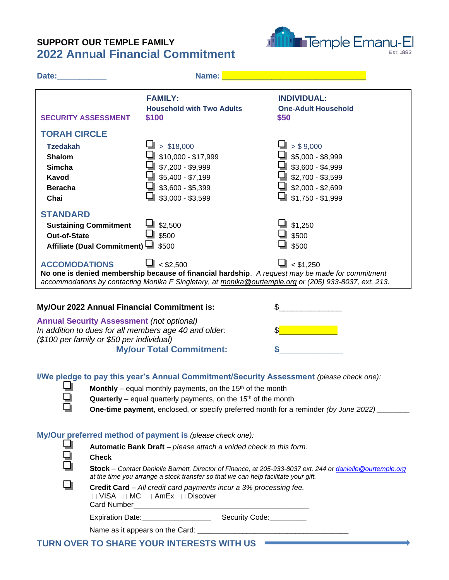## **SUPPORT OUR TEMPLE FAMILY 2022 Annual Financial Commitment**



| Date:                                                                                                                                                                                                                                                                | Name:                                                                                                                                                                                                                                                                                                                       |                                                                                             |  |  |
|----------------------------------------------------------------------------------------------------------------------------------------------------------------------------------------------------------------------------------------------------------------------|-----------------------------------------------------------------------------------------------------------------------------------------------------------------------------------------------------------------------------------------------------------------------------------------------------------------------------|---------------------------------------------------------------------------------------------|--|--|
| <b>SECURITY ASSESSMENT</b>                                                                                                                                                                                                                                           | <b>FAMILY:</b><br><b>Household with Two Adults</b><br>\$100                                                                                                                                                                                                                                                                 | <b>INDIVIDUAL:</b><br><b>One-Adult Household</b><br>\$50                                    |  |  |
| <b>TORAH CIRCLE</b><br><b>Tzedakah</b><br><b>Shalom</b>                                                                                                                                                                                                              | > \$18,000<br>\$10,000 - \$17,999                                                                                                                                                                                                                                                                                           | > \$9,000<br>$$5,000 - $8,999$                                                              |  |  |
| <b>Simcha</b><br><b>Kavod</b><br><b>Beracha</b>                                                                                                                                                                                                                      | \$7,200 - \$9,999<br>$$5,400 - $7,199$<br>$$3,600 - $5,399$                                                                                                                                                                                                                                                                 | $\blacksquare$ \$3,600 - \$4,999<br>$\blacksquare$ \$2,700 - \$3,599<br>┛ \$2,000 - \$2,699 |  |  |
| Chai<br><b>STANDARD</b><br><b>Sustaining Commitment</b>                                                                                                                                                                                                              | $$3,000 - $3,599$<br>\$2,500                                                                                                                                                                                                                                                                                                | $$1,750 - $1,999$<br>\$1,250                                                                |  |  |
| <b>Out-of-State</b><br>Affiliate (Dual Commitment)                                                                                                                                                                                                                   | \$500<br>$\blacksquare$ \$500                                                                                                                                                                                                                                                                                               | \$500<br>\$500                                                                              |  |  |
| $\Box$ < \$2.500<br>$<$ \$1.250<br><b>ACCOMODATIONS</b><br>No one is denied membership because of financial hardship. A request may be made for commitment<br>accommodations by contacting Monika F Singletary, at monika@ourtemple.org or (205) 933-8037, ext. 213. |                                                                                                                                                                                                                                                                                                                             |                                                                                             |  |  |
| My/Our 2022 Annual Financial Commitment is:                                                                                                                                                                                                                          |                                                                                                                                                                                                                                                                                                                             | \$                                                                                          |  |  |
| <b>Annual Security Assessment (not optional)</b><br>In addition to dues for all members age 40 and older:<br>(\$100 per family or \$50 per individual)<br><b>My/our Total Commitment:</b>                                                                            |                                                                                                                                                                                                                                                                                                                             | \$                                                                                          |  |  |
|                                                                                                                                                                                                                                                                      | I/We pledge to pay this year's Annual Commitment/Security Assessment (please check one):<br>Monthly – equal monthly payments, on the $15th$ of the month<br><b>Quarterly</b> – equal quarterly payments, on the $15th$ of the month<br>One-time payment, enclosed, or specify preferred month for a reminder (by June 2022) |                                                                                             |  |  |
| <b>Check</b>                                                                                                                                                                                                                                                         | My/Our preferred method of payment is (please check one):<br>Automatic Bank Draft - please attach a voided check to this form.                                                                                                                                                                                              |                                                                                             |  |  |

**Stock** – *Contact Danielle Barnett, Director of Finance, at 205-933-8037 ext. 244 or [danielle@ourtemple.org](mailto:danielle@ourtemple.org) at the time you arrange a stock transfer so that we can help facilitate your gift.*

**Credit Card** – *All credit card payments incur a 3% processing fee.*  □ VISA □ MC □ AmEx □ Discover Card Number\_\_\_\_\_\_\_\_\_\_\_\_\_\_\_\_\_\_\_\_\_\_\_\_\_\_\_\_\_\_\_\_\_\_\_\_\_\_\_\_\_\_\_

Expiration Date:\_\_\_\_\_\_\_\_\_\_\_\_\_\_\_\_\_ Security Code:\_\_\_\_\_\_\_\_\_

ā

 $\Box$ 

Name as it appears on the Card:

**TURN OVER TO SHARE YOUR INTERESTS WITH US**